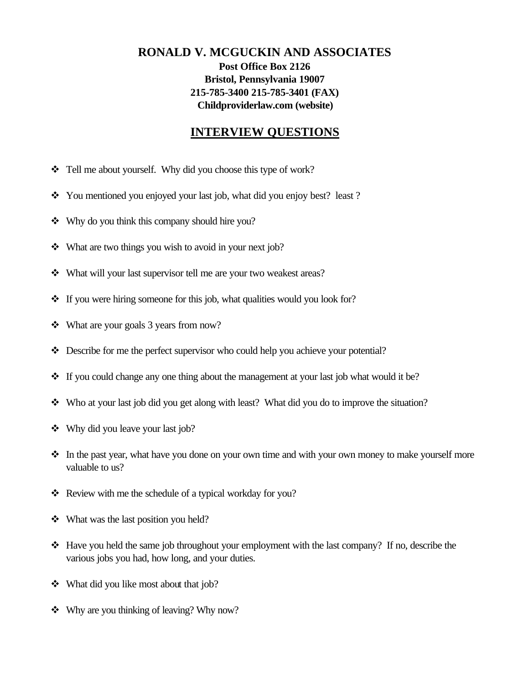## **RONALD V. MCGUCKIN AND ASSOCIATES Post Office Box 2126 Bristol, Pennsylvania 19007 215-785-3400 215-785-3401 (FAX) Childproviderlaw.com (website)**

## **INTERVIEW QUESTIONS**

- \* Tell me about yourself. Why did you choose this type of work?
- \* You mentioned you enjoyed your last job, what did you enjoy best? least?
- $\mathbf{\hat{v}}$  Why do you think this company should hire you?
- $\cdot \cdot \cdot$  What are two things you wish to avoid in your next job?
- $\cdot$  What will your last supervisor tell me are your two weakest areas?
- $\cdot \cdot$  If you were hiring someone for this job, what qualities would you look for?
- $\triangleleft$  What are your goals 3 years from now?
- $\bullet$  Describe for me the perfect supervisor who could help you achieve your potential?
- $\div$  If you could change any one thing about the management at your last job what would it be?
- $\bullet\bullet\quad$  Who at your last job did you get along with least? What did you do to improve the situation?
- $\div$  Why did you leave your last job?
- In the past year, what have you done on your own time and with your own money to make yourself more valuable to us?
- $\triangleleft$  Review with me the schedule of a typical workday for you?
- $\div$  What was the last position you held?
- $\div$  Have you held the same job throughout your employment with the last company? If no, describe the various jobs you had, how long, and your duties.
- $\triangleleft$  What did you like most about that job?
- $\bullet\bullet\quad$  Why are you thinking of leaving? Why now?